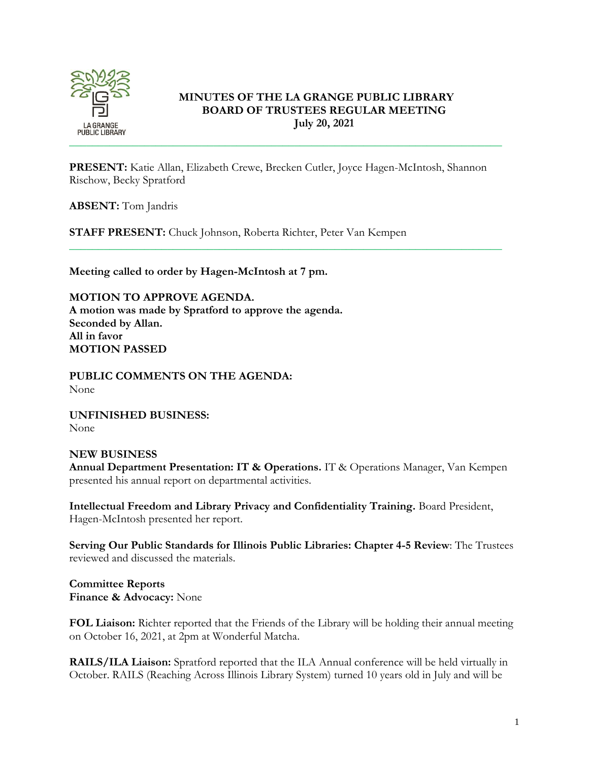

# **MINUTES OF THE LA GRANGE PUBLIC LIBRARY BOARD OF TRUSTEES REGULAR MEETING July 20, 2021**

**PRESENT:** Katie Allan, Elizabeth Crewe, Brecken Cutler, Joyce Hagen-McIntosh, Shannon Rischow, Becky Spratford

\_\_\_\_\_\_\_\_\_\_\_\_\_\_\_\_\_\_\_\_\_\_\_\_\_\_\_\_\_\_\_\_\_\_\_\_\_\_\_\_\_\_\_\_\_\_\_\_\_\_\_\_\_\_\_\_\_\_\_\_\_\_\_\_\_\_\_\_\_\_\_\_\_\_\_

**ABSENT:** Tom Jandris

**STAFF PRESENT:** Chuck Johnson, Roberta Richter, Peter Van Kempen

**Meeting called to order by Hagen-McIntosh at 7 pm.**

**MOTION TO APPROVE AGENDA. A motion was made by Spratford to approve the agenda. Seconded by Allan. All in favor MOTION PASSED**

**PUBLIC COMMENTS ON THE AGENDA:**  None

**UNFINISHED BUSINESS:** None

### **NEW BUSINESS**

**Annual Department Presentation: IT & Operations.** IT & Operations Manager, Van Kempen presented his annual report on departmental activities.

**Intellectual Freedom and Library Privacy and Confidentiality Training.** Board President, Hagen-McIntosh presented her report.

**Serving Our Public Standards for Illinois Public Libraries: Chapter 4-5 Review**: The Trustees reviewed and discussed the materials.

**Committee Reports Finance & Advocacy:** None

**FOL Liaison:** Richter reported that the Friends of the Library will be holding their annual meeting on October 16, 2021, at 2pm at Wonderful Matcha.

**RAILS/ILA Liaison:** Spratford reported that the ILA Annual conference will be held virtually in October. RAILS (Reaching Across Illinois Library System) turned 10 years old in July and will be